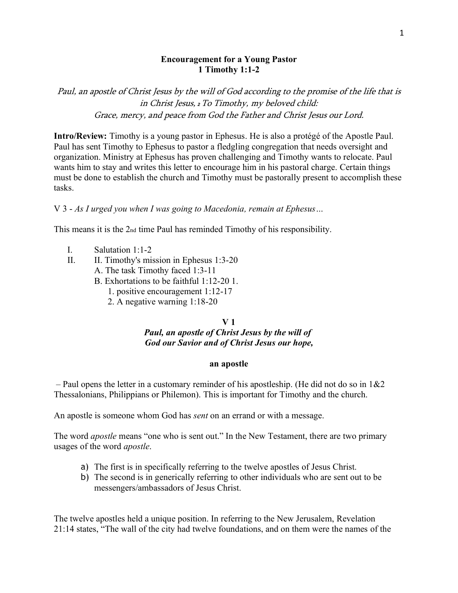### **Encouragement for a Young Pastor 1 Timothy 1:1-2**

Paul, an apostle of Christ Jesus by the will of God according to the promise of the life that is in Christ Jesus, *<sup>2</sup>*To Timothy, my beloved child: Grace, mercy, and peace from God the Father and Christ Jesus our Lord.

**Intro/Review:** Timothy is a young pastor in Ephesus. He is also a protégé of the Apostle Paul. Paul has sent Timothy to Ephesus to pastor a fledgling congregation that needs oversight and organization. Ministry at Ephesus has proven challenging and Timothy wants to relocate. Paul wants him to stay and writes this letter to encourage him in his pastoral charge. Certain things must be done to establish the church and Timothy must be pastorally present to accomplish these tasks.

## V 3 - *As I urged you when I was going to Macedonia, remain at Ephesus…*

This means it is the 2nd time Paul has reminded Timothy of his responsibility.

- I. Salutation 1:1-2
- II. II. Timothy's mission in Ephesus 1:3-20
	- A. The task Timothy faced 1:3-11
	- B. Exhortations to be faithful 1:12-20 1.
		- 1. positive encouragement 1:12-17
			- 2. A negative warning 1:18-20

### **V 1**

### *Paul, an apostle of Christ Jesus by the will of God our Savior and of Christ Jesus our hope,*

#### **an apostle**

– Paul opens the letter in a customary reminder of his apostleship. (He did not do so in  $1\&2$ Thessalonians, Philippians or Philemon). This is important for Timothy and the church.

An apostle is someone whom God has *sent* on an errand or with a message.

The word *apostle* means "one who is sent out." In the New Testament, there are two primary usages of the word *apostle*.

- a) The first is in specifically referring to the twelve apostles of Jesus Christ.
- b) The second is in generically referring to other individuals who are sent out to be messengers/ambassadors of Jesus Christ.

The twelve apostles held a unique position. In referring to the New Jerusalem, Revelation 21:14 states, "The wall of the city had twelve foundations, and on them were the names of the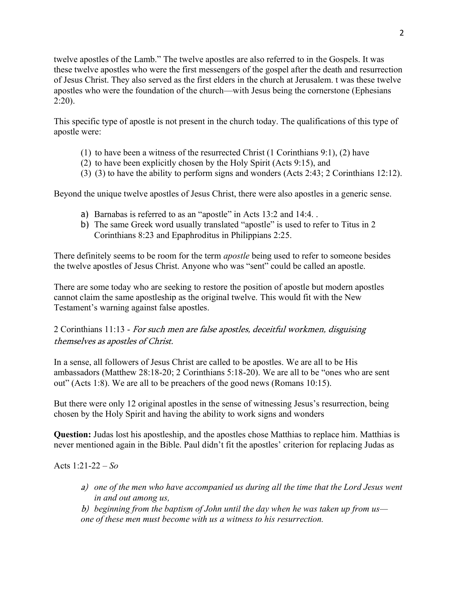twelve apostles of the Lamb." The twelve apostles are also referred to in the Gospels. It was these twelve apostles who were the first messengers of the gospel after the death and resurrection of Jesus Christ. They also served as the first elders in the church at Jerusalem. t was these twelve apostles who were the foundation of the church—with Jesus being the cornerstone [\(Ephesians](https://biblia.com/bible/esv/Eph%202.20)  [2:20\)](https://biblia.com/bible/esv/Eph%202.20).

This specific type of apostle is not present in the church today. The qualifications of this type of apostle were:

- (1) to have been a witness of the resurrected Christ (1 Corinthians 9:1), (2) have
- (2) to have been explicitly chosen by the Holy Spirit (Acts 9:15), and
- (3) (3) to have the ability to perform signs and wonders (Acts 2:43; 2 Corinthians 12:12).

Beyond the unique twelve apostles of Jesus Christ, there were also apostles in a generic sense.

- a) Barnabas is referred to as an "apostle" in Acts 13:2 and 14:4. .
- b) The same Greek word usually translated "apostle" is used to refer to Titus in 2 Corinthians 8:23 and Epaphroditus in Philippians 2:25.

There definitely seems to be room for the term *apostle* being used to refer to someone besides the twelve apostles of Jesus Christ. Anyone who was "sent" could be called an apostle.

There are some today who are seeking to restore the position of apostle but modern apostles cannot claim the same apostleship as the original twelve. This would fit with the New Testament's warning against false apostles.

# 2 Corinthians 11:13 - For such men are false apostles, deceitful workmen, disguising themselves as apostles of Christ.

In a sense, all followers of Jesus Christ are called to be apostles. We are all to be His ambassadors (Matthew 28:18-20; 2 Corinthians 5:18-20). We are all to be "ones who are sent out" (Acts 1:8). We are all to be preachers of the good news (Romans 10:15).

But there were only 12 original apostles in the sense of witnessing Jesus's resurrection, being chosen by the Holy Spirit and having the ability to work signs and wonders

**Question:** Judas lost his apostleship, and the apostles chose Matthias to replace him. Matthias is never mentioned again in the Bible. Paul didn't fit the apostles' criterion for replacing Judas as

# Acts 1:21-22 – *So*

a) *one of the men who have accompanied us during all the time that the Lord Jesus went in and out among us,*

b) *beginning from the baptism of John until the day when he was taken up from us one of these men must become with us a witness to his resurrection.*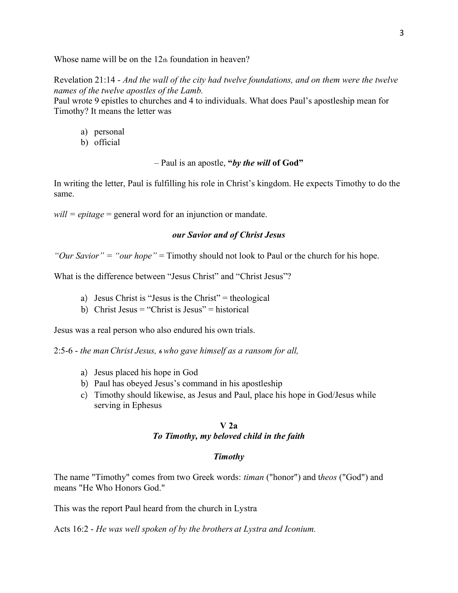Whose name will be on the 12th foundation in heaven?

Revelation 21:14 - *And the wall of the city had twelve foundations, and on them were the twelve names of the twelve apostles of the Lamb.*

Paul wrote 9 epistles to churches and 4 to individuals. What does Paul's apostleship mean for Timothy? It means the letter was

- a) personal
- b) official

– Paul is an apostle, **"***by the will* **of God"**

In writing the letter, Paul is fulfilling his role in Christ's kingdom. He expects Timothy to do the same.

*will = epitage* = general word for an injunction or mandate.

### *our Savior and of Christ Jesus*

*"Our Savior" = "our hope"* = Timothy should not look to Paul or the church for his hope.

What is the difference between "Jesus Christ" and "Christ Jesus"?

- a) Jesus Christ is "Jesus is the Christ" = theological
- b) Christ Jesus = "Christ is Jesus" = historical

Jesus was a real person who also endured his own trials.

2:5-6 - *the man Christ Jesus, <sup>6</sup> who gave himself as a ransom for all,*

- a) Jesus placed his hope in God
- b) Paul has obeyed Jesus's command in his apostleship
- c) Timothy should likewise, as Jesus and Paul, place his hope in God/Jesus while serving in Ephesus

### **V 2a** *To Timothy, my beloved child in the faith*

#### *Timothy*

The name "Timothy" comes from two Greek words: *timan* ("honor") and t*heos* ("God") and means "He Who Honors God."

This was the report Paul heard from the church in Lystra

Acts 16:2 - *He was well spoken of by the brothers at Lystra and Iconium.*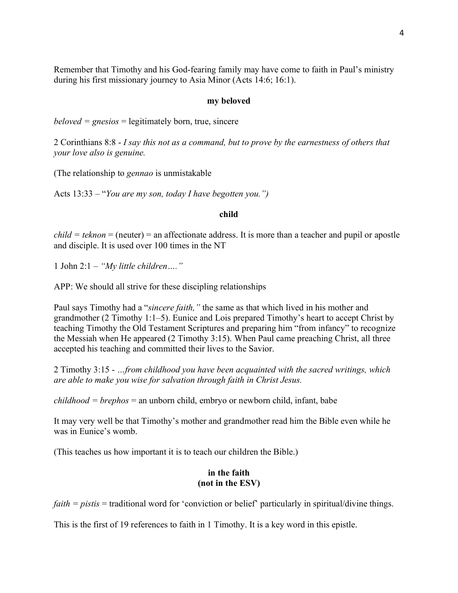Remember that Timothy and his God-fearing family may have come to faith in Paul's ministry during his first missionary journey to Asia Minor (Acts 14:6; 16:1).

#### **my beloved**

*beloved = gnesios* = legitimately born, true, sincere

2 Corinthians 8:8 - *I say this not as a command, but to prove by the earnestness of others that your love also is genuine.*

(The relationship to *gennao* is unmistakable

Acts 13:33 – "*You are my son, today I have begotten you.")*

#### **child**

 $child = teknon = (neuter) = an$  affectionate address. It is more than a teacher and pupil or apostle and disciple. It is used over 100 times in the NT

1 John 2:1 – *"My little children…."*

APP: We should all strive for these discipling relationships

Paul says Timothy had a "*sincere faith,"* the same as that which lived in his mother and grandmother (2 Timothy 1:1–5). Eunice and Lois prepared Timothy's heart to accept Christ by teaching Timothy the Old Testament Scriptures and preparing him "from infancy" to recognize the Messiah when He appeared (2 Timothy 3:15). When Paul came preaching Christ, all three accepted his teaching and committed their lives to the Savior.

2 Timothy 3:15 - *…from childhood you have been acquainted with the sacred writings, which are able to make you wise for salvation through faith in Christ Jesus.*

*childhood = brephos* = an unborn child, embryo or newborn child, infant, babe

It may very well be that Timothy's mother and grandmother read him the Bible even while he was in Eunice's womb.

(This teaches us how important it is to teach our children the Bible.)

## **in the faith (not in the ESV)**

*faith = pistis* = traditional word for 'conviction or belief' particularly in spiritual/divine things.

This is the first of 19 references to faith in 1 Timothy. It is a key word in this epistle.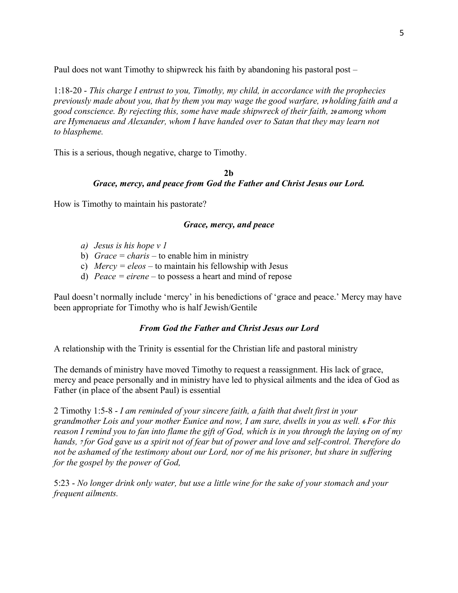Paul does not want Timothy to shipwreck his faith by abandoning his pastoral post –

1:18-20 - *This charge I entrust to you, Timothy, my child, in accordance with the prophecies previously made about you, that by them you may wage the good warfare, <sup>19</sup> holding faith and a good conscience. By rejecting this, some have made shipwreck of their faith, <sup>20</sup> among whom are Hymenaeus and Alexander, whom I have handed over to Satan that they may learn not to blaspheme.*

This is a serious, though negative, charge to Timothy.

# **2b** *Grace, mercy, and peace from God the Father and Christ Jesus our Lord.*

How is Timothy to maintain his pastorate?

# *Grace, mercy, and peace*

- *a) Jesus is his hope v 1*
- b) *Grace = charis –* to enable him in ministry
- c) *Mercy = eleos –* to maintain his fellowship with Jesus
- d) *Peace = eirene –* to possess a heart and mind of repose

Paul doesn't normally include 'mercy' in his benedictions of 'grace and peace.' Mercy may have been appropriate for Timothy who is half Jewish/Gentile

# *From God the Father and Christ Jesus our Lord*

A relationship with the Trinity is essential for the Christian life and pastoral ministry

The demands of ministry have moved Timothy to request a reassignment. His lack of grace, mercy and peace personally and in ministry have led to physical ailments and the idea of God as Father (in place of the absent Paul) is essential

2 Timothy 1:5-8 - *I am reminded of your sincere faith, a faith that dwelt first in your grandmother Lois and your mother Eunice and now, I am sure, dwells in you as well. <sup>6</sup> For this reason I remind you to fan into flame the gift of God, which is in you through the laying on of my hands, <sup>7</sup> for God gave us a spirit not of fear but of power and love and self-control. Therefore do not be ashamed of the testimony about our Lord, nor of me his prisoner, but share in suffering for the gospel by the power of God,*

5:23 - *No longer drink only water, but use a little wine for the sake of your stomach and your frequent ailments.*